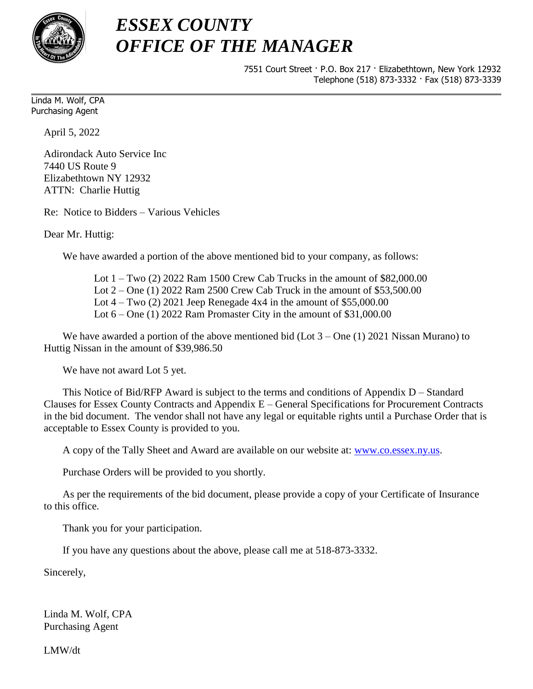

## *ESSEX COUNTY OFFICE OF THE MANAGER*

7551 Court Street · P.O. Box 217 · Elizabethtown, New York 12932 Telephone (518) 873-3332 · Fax (518) 873-3339

Linda M. Wolf, CPA Purchasing Agent

April 5, 2022

Adirondack Auto Service Inc 7440 US Route 9 Elizabethtown NY 12932 ATTN: Charlie Huttig

Re: Notice to Bidders – Various Vehicles

Dear Mr. Huttig:

We have awarded a portion of the above mentioned bid to your company, as follows:

Lot 1 – Two (2) 2022 Ram 1500 Crew Cab Trucks in the amount of \$82,000.00 Lot 2 – One (1) 2022 Ram 2500 Crew Cab Truck in the amount of \$53,500.00 Lot  $4 - Two (2) 2021$  Jeep Renegade  $4x4$  in the amount of \$55,000.00 Lot  $6 -$ One (1) 2022 Ram Promaster City in the amount of \$31,000.00

We have awarded a portion of the above mentioned bid (Lot  $3 -$ One (1) 2021 Nissan Murano) to Huttig Nissan in the amount of \$39,986.50

We have not award Lot 5 yet.

This Notice of Bid/RFP Award is subject to the terms and conditions of Appendix D – Standard Clauses for Essex County Contracts and Appendix E – General Specifications for Procurement Contracts in the bid document. The vendor shall not have any legal or equitable rights until a Purchase Order that is acceptable to Essex County is provided to you.

A copy of the Tally Sheet and Award are available on our website at: [www.co.essex.ny.us.](http://www.co.essex.ny.us/)

Purchase Orders will be provided to you shortly.

As per the requirements of the bid document, please provide a copy of your Certificate of Insurance to this office.

Thank you for your participation.

If you have any questions about the above, please call me at 518-873-3332.

Sincerely,

Linda M. Wolf, CPA Purchasing Agent

LMW/dt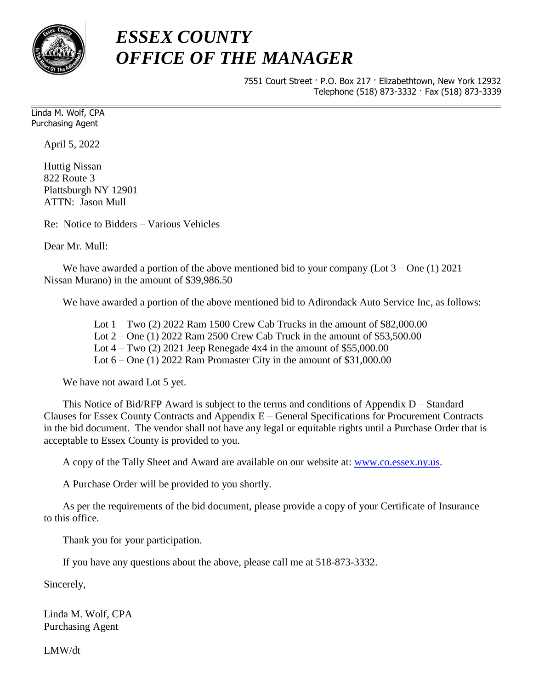

## *ESSEX COUNTY OFFICE OF THE MANAGER*

7551 Court Street · P.O. Box 217 · Elizabethtown, New York 12932 Telephone (518) 873-3332 · Fax (518) 873-3339

Linda M. Wolf, CPA Purchasing Agent

April 5, 2022

Huttig Nissan 822 Route 3 Plattsburgh NY 12901 ATTN: Jason Mull

Re: Notice to Bidders – Various Vehicles

Dear Mr. Mull:

We have awarded a portion of the above mentioned bid to your company (Lot  $3 -$ One (1) 2021 Nissan Murano) in the amount of \$39,986.50

We have awarded a portion of the above mentioned bid to Adirondack Auto Service Inc, as follows:

Lot 1 – Two (2) 2022 Ram 1500 Crew Cab Trucks in the amount of \$82,000.00 Lot 2 – One (1) 2022 Ram 2500 Crew Cab Truck in the amount of \$53,500.00 Lot  $4 - Two$  (2) 2021 Jeep Renegade  $4x4$  in the amount of \$55,000.00 Lot  $6 -$ One  $(1)$  2022 Ram Promaster City in the amount of \$31,000.00

We have not award Lot 5 yet.

This Notice of Bid/RFP Award is subject to the terms and conditions of Appendix D – Standard Clauses for Essex County Contracts and Appendix E – General Specifications for Procurement Contracts in the bid document. The vendor shall not have any legal or equitable rights until a Purchase Order that is acceptable to Essex County is provided to you.

A copy of the Tally Sheet and Award are available on our website at: [www.co.essex.ny.us.](http://www.co.essex.ny.us/)

A Purchase Order will be provided to you shortly.

As per the requirements of the bid document, please provide a copy of your Certificate of Insurance to this office.

Thank you for your participation.

If you have any questions about the above, please call me at 518-873-3332.

Sincerely,

Linda M. Wolf, CPA Purchasing Agent

LMW/dt